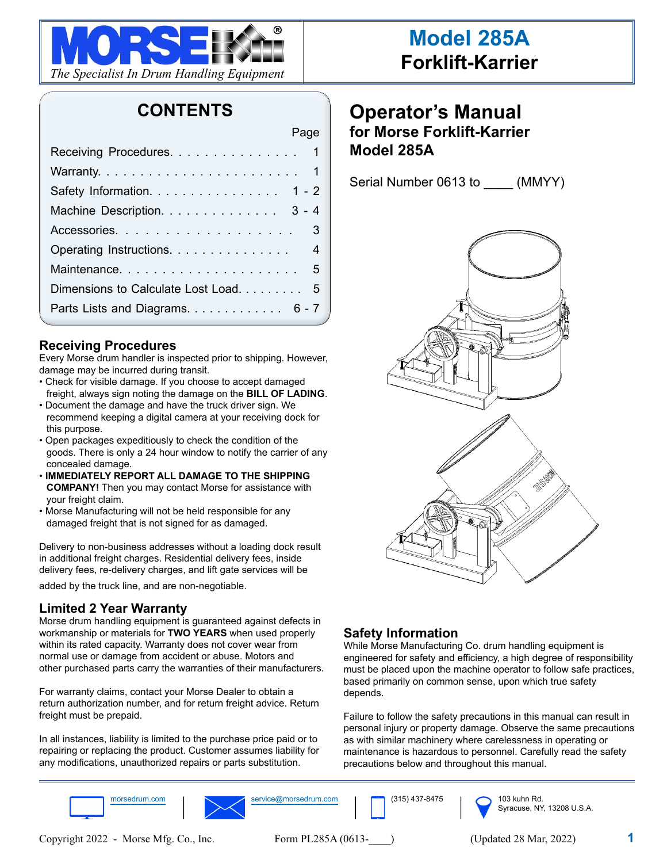

## **CONTENTS**

Page

| <u>1990 - Andrew Barbara, Amerikaansk politiker († 1901)</u> |
|--------------------------------------------------------------|
| Receiving Procedures. 1                                      |
|                                                              |
| Safety Information. 1 - 2                                    |
| Machine Description. 3 - 4                                   |
| Accessories. 3                                               |
| Operating Instructions. 4                                    |
|                                                              |
| Dimensions to Calculate Lost Load. 5                         |
| Parts Lists and Diagrams. 6 - 7                              |

#### **Receiving Procedures**

Every Morse drum handler is inspected prior to shipping. However, damage may be incurred during transit.

- Check for visible damage. If you choose to accept damaged freight, always sign noting the damage on the **BILL OF LADING**.
- Document the damage and have the truck driver sign. We recommend keeping a digital camera at your receiving dock for this purpose.
- Open packages expeditiously to check the condition of the goods. There is only a 24 hour window to notify the carrier of any concealed damage.
- **IMMEDIATELY REPORT ALL DAMAGE TO THE SHIPPING COMPANY!** Then you may contact Morse for assistance with your freight claim.
- Morse Manufacturing will not be held responsible for any damaged freight that is not signed for as damaged.

Delivery to non-business addresses without a loading dock result in additional freight charges. Residential delivery fees, inside delivery fees, re-delivery charges, and lift gate services will be

added by the truck line, and are non-negotiable.

#### **Limited 2 Year Warranty**

Morse drum handling equipment is guaranteed against defects in workmanship or materials for **TWO YEARS** when used properly within its rated capacity. Warranty does not cover wear from normal use or damage from accident or abuse. Motors and other purchased parts carry the warranties of their manufacturers.

For warranty claims, contact your Morse Dealer to obtain a return authorization number, and for return freight advice. Return freight must be prepaid.

In all instances, liability is limited to the purchase price paid or to repairing or replacing the product. Customer assumes liability for any modifications, unauthorized repairs or parts substitution.

## **Operator's Manual for Morse Forklift-Karrier Model 285A**

Serial Number 0613 to \_\_\_\_\_ (MMYY)



### **Safety Information**

While Morse Manufacturing Co. drum handling equipment is engineered for safety and efficiency, a high degree of responsibility must be placed upon the machine operator to follow safe practices, based primarily on common sense, upon which true safety depends.

Failure to follow the safety precautions in this manual can result in personal injury or property damage. Observe the same precautions as with similar machinery where carelessness in operating or maintenance is hazardous to personnel. Carefully read the safety precautions below and throughout this manual.

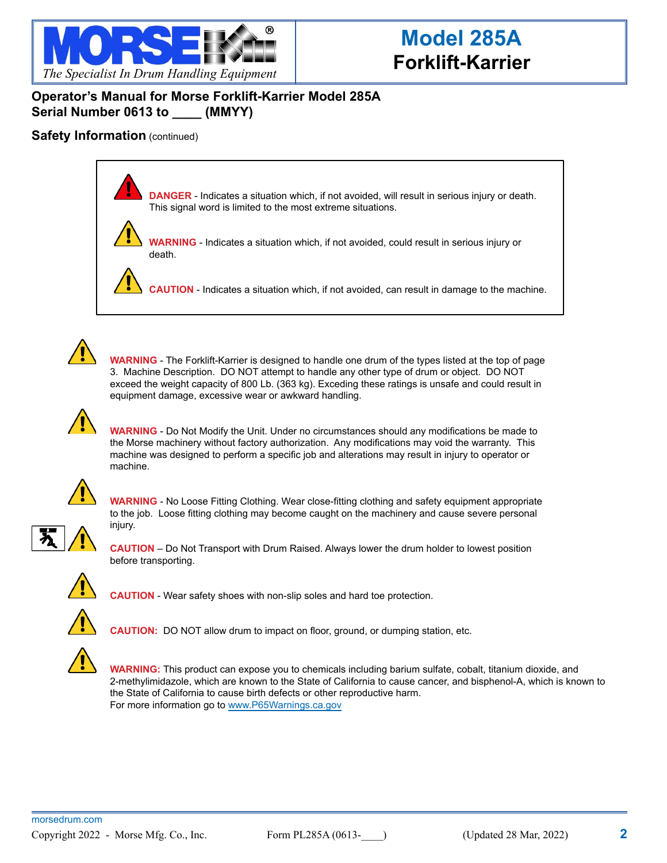

### **Operator's Manual for Morse Forklift-Karrier Model 285A Serial Number 0613 to \_\_\_\_ (MMYY)**

#### **Safety Information** (continued)

**DANGER** - Indicates a situation which, if not avoided, will result in serious injury or death. This signal word is limited to the most extreme situations.



**WARNING** - Indicates a situation which, if not avoided, could result in serious injury or death.

**CAUTION** - Indicates a situation which, if not avoided, can result in damage to the machine.



**WARNING** - The Forklift-Karrier is designed to handle one drum of the types listed at the top of page 3. Machine Description. DO NOT attempt to handle any other type of drum or object. DO NOT exceed the weight capacity of 800 Lb. (363 kg). Exceding these ratings is unsafe and could result in equipment damage, excessive wear or awkward handling.



**WARNING** - Do Not Modify the Unit. Under no circumstances should any modifications be made to the Morse machinery without factory authorization. Any modifications may void the warranty. This machine was designed to perform a specific job and alterations may result in injury to operator or machine.



**WARNING** - No Loose Fitting Clothing. Wear close-fitting clothing and safety equipment appropriate to the job. Loose fitting clothing may become caught on the machinery and cause severe personal injury.



**CAUTION** – Do Not Transport with Drum Raised. Always lower the drum holder to lowest position before transporting.



**CAUTION** - Wear safety shoes with non-slip soles and hard toe protection.



**CAUTION:** DO NOT allow drum to impact on floor, ground, or dumping station, etc.



**WARNING:** This product can expose you to chemicals including barium sulfate, cobalt, titanium dioxide, and 2-methylimidazole, which are known to the State of California to cause cancer, and bisphenol-A, which is known to the State of California to cause birth defects or other reproductive harm. For more information go to www.P65Warnings.ca.gov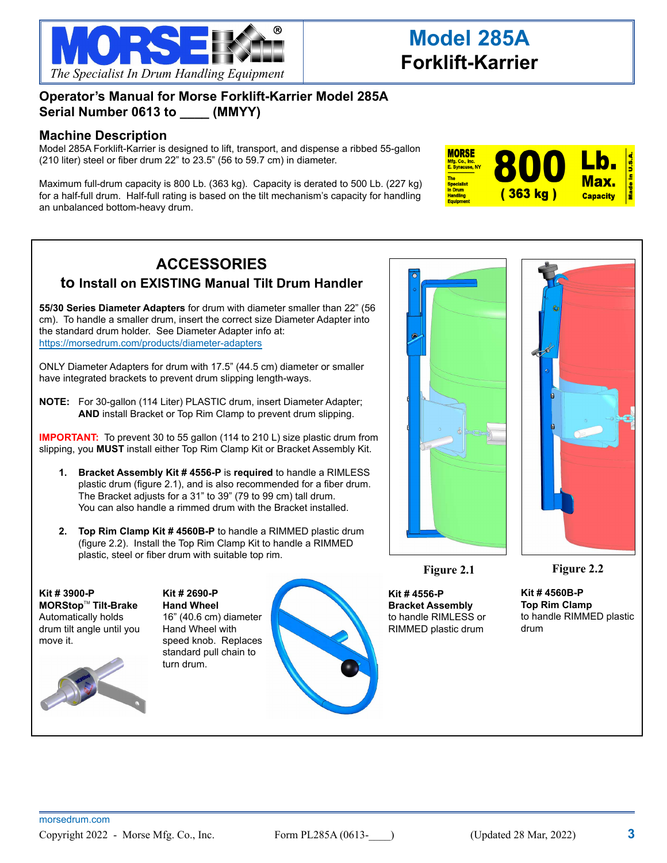

### **Operator's Manual for Morse Forklift-Karrier Model 285A Serial Number 0613 to \_\_\_\_ (MMYY)**

#### **Machine Description**

Model 285A Forklift-Karrier is designed to lift, transport, and dispense a ribbed 55-gallon (210 liter) steel or fiber drum 22" to 23.5" (56 to 59.7 cm) in diameter.

Maximum full-drum capacity is 800 Lb. (363 kg). Capacity is derated to 500 Lb. (227 kg) for a half-full drum. Half-full rating is based on the tilt mechanism's capacity for handling an unbalanced bottom-heavy drum.



## **ACCESSORIES to Install on EXISTING Manual Tilt Drum Handler**

**55/30 Series Diameter Adapters** for drum with diameter smaller than 22" (56 cm). To handle a smaller drum, insert the correct size Diameter Adapter into the standard drum holder. See Diameter Adapter info at: https://morsedrum.com/products/diameter-adapters

ONLY Diameter Adapters for drum with 17.5" (44.5 cm) diameter or smaller have integrated brackets to prevent drum slipping length-ways.

**NOTE:** For 30-gallon (114 Liter) PLASTIC drum, insert Diameter Adapter; **AND** install Bracket or Top Rim Clamp to prevent drum slipping.

**IMPORTANT:** To prevent 30 to 55 gallon (114 to 210 L) size plastic drum from slipping, you **MUST** install either Top Rim Clamp Kit or Bracket Assembly Kit.

- **1. Bracket Assembly Kit # 4556-P** is **required** to handle a RIMLESS plastic drum (figure 2.1), and is also recommended for a fiber drum. The Bracket adjusts for a 31" to 39" (79 to 99 cm) tall drum. You can also handle a rimmed drum with the Bracket installed.
- **2. Top Rim Clamp Kit # 4560B-P** to handle a RIMMED plastic drum (figure 2.2). Install the Top Rim Clamp Kit to handle a RIMMED plastic, steel or fiber drum with suitable top rim.

**Kit # 3900-P MORStop™ Tilt-Brake** Automatically holds drum tilt angle until you move it.



**Kit # 2690-P Hand Wheel** 16" (40.6 cm) diameter Hand Wheel with speed knob. Replaces standard pull chain to turn drum.





**Figure 2.1**

**Kit # 4556-P Bracket Assembly**  to handle RIMLESS or RIMMED plastic drum



**Figure 2.2**

**Kit # 4560B-P Top Rim Clamp** to handle RIMMED plastic drum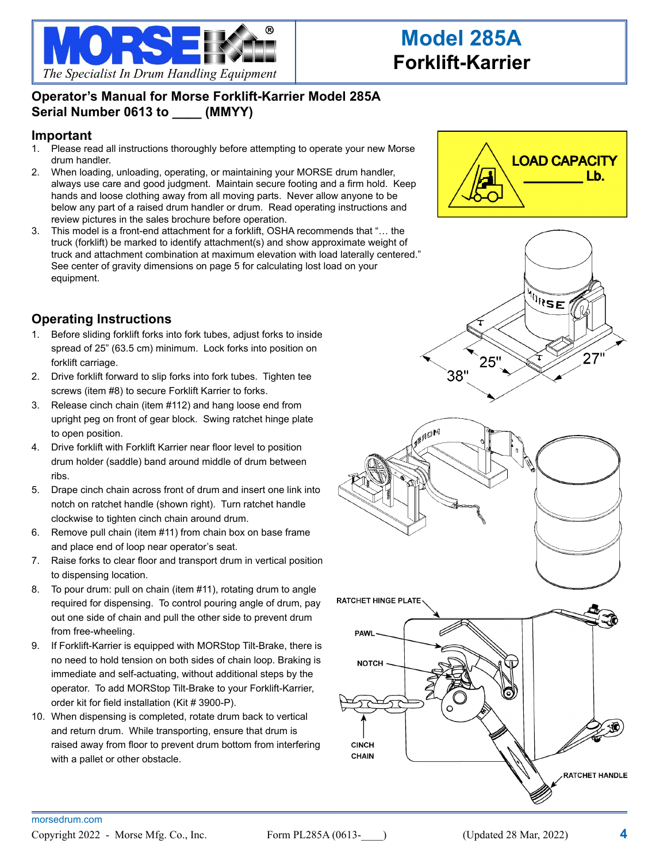

## **Operator's Manual for Morse Forklift-Karrier Model 285A Serial Number 0613 to \_\_\_\_ (MMYY)**

#### **Important**

- 1. Please read all instructions thoroughly before attempting to operate your new Morse drum handler.
- 2. When loading, unloading, operating, or maintaining your MORSE drum handler, always use care and good judgment. Maintain secure footing and a firm hold. Keep hands and loose clothing away from all moving parts. Never allow anyone to be below any part of a raised drum handler or drum. Read operating instructions and review pictures in the sales brochure before operation.
- 3. This model is a front-end attachment for a forklift, OSHA recommends that "… the truck (forklift) be marked to identify attachment(s) and show approximate weight of truck and attachment combination at maximum elevation with load laterally centered." See center of gravity dimensions on page 5 for calculating lost load on your equipment.

### **Operating Instructions**

- 1. Before sliding forklift forks into fork tubes, adjust forks to inside spread of 25" (63.5 cm) minimum. Lock forks into position on forklift carriage.
- 2. Drive forklift forward to slip forks into fork tubes. Tighten tee screws (item #8) to secure Forklift Karrier to forks.
- 3. Release cinch chain (item #112) and hang loose end from upright peg on front of gear block. Swing ratchet hinge plate to open position.
- 4. Drive forklift with Forklift Karrier near floor level to position drum holder (saddle) band around middle of drum between ribs.
- 5. Drape cinch chain across front of drum and insert one link into notch on ratchet handle (shown right). Turn ratchet handle clockwise to tighten cinch chain around drum.
- 6. Remove pull chain (item #11) from chain box on base frame and place end of loop near operator's seat.
- 7. Raise forks to clear floor and transport drum in vertical position to dispensing location.
- 8. To pour drum: pull on chain (item #11), rotating drum to angle required for dispensing. To control pouring angle of drum, pay out one side of chain and pull the other side to prevent drum from free-wheeling.
- 9. If Forklift-Karrier is equipped with MORStop Tilt-Brake, there is no need to hold tension on both sides of chain loop. Braking is immediate and self-actuating, without additional steps by the operator. To add MORStop Tilt-Brake to your Forklift-Karrier, order kit for field installation (Kit # 3900-P).
- 10. When dispensing is completed, rotate drum back to vertical and return drum. While transporting, ensure that drum is raised away from floor to prevent drum bottom from interfering with a pallet or other obstacle.







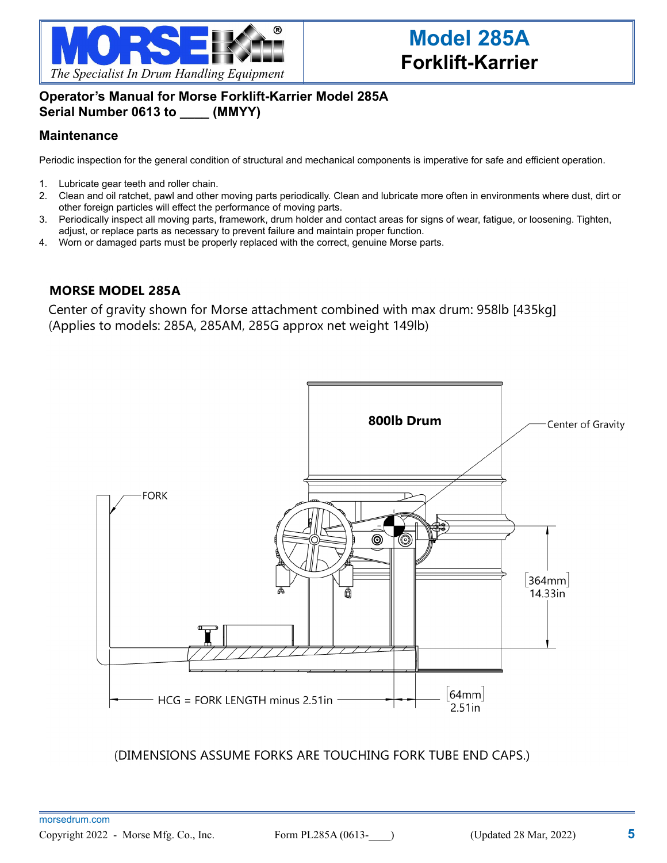

### **Operator's Manual for Morse Forklift-Karrier Model 285A Serial Number 0613 to \_\_\_\_ (MMYY)**

#### **Maintenance**

Periodic inspection for the general condition of structural and mechanical components is imperative for safe and efficient operation.

- 1. Lubricate gear teeth and roller chain.
- 2. Clean and oil ratchet, pawl and other moving parts periodically. Clean and lubricate more often in environments where dust, dirt or other foreign particles will effect the performance of moving parts.
- 3. Periodically inspect all moving parts, framework, drum holder and contact areas for signs of wear, fatigue, or loosening. Tighten, adjust, or replace parts as necessary to prevent failure and maintain proper function.
- 4. Worn or damaged parts must be properly replaced with the correct, genuine Morse parts.

#### **MORSE MODEL 285A**

Center of gravity shown for Morse attachment combined with max drum: 958lb [435kg] (Applies to models: 285A, 285AM, 285G approx net weight 149lb)



(DIMENSIONS ASSUME FORKS ARE TOUCHING FORK TUBE END CAPS.)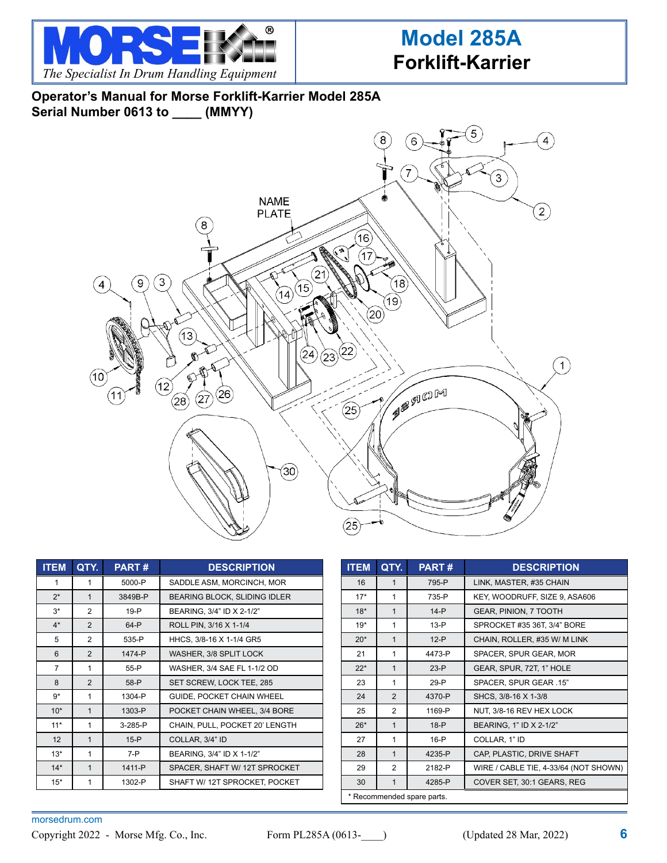

## **Operator's Manual for Morse Forklift-Karrier Model 285A Serial Number 0613 to \_\_\_\_ (MMYY)**



| <b>ITEM</b>    | QTY.           | <b>PART#</b> | <b>DESCRIPTION</b>                  |
|----------------|----------------|--------------|-------------------------------------|
| 1              | 1              | 5000-P       | SADDLE ASM, MORCINCH, MOR           |
| $2^*$          | $\mathbf{1}$   | 3849B-P      | <b>BEARING BLOCK, SLIDING IDLER</b> |
| $3^*$          | 2              | 19-P         | BEARING, 3/4" ID X 2-1/2"           |
| $4^*$          | $\overline{2}$ | 64-P         | ROLL PIN, 3/16 X 1-1/4              |
| 5              | 2              | 535-P        | HHCS, 3/8-16 X 1-1/4 GR5            |
| 6              | $\overline{2}$ | 1474-P       | WASHER, 3/8 SPLIT LOCK              |
| $\overline{7}$ | 1              | 55-P         | WASHER, 3/4 SAE FL 1-1/2 OD         |
| 8              | $\overline{2}$ | 58-P         | SET SCREW, LOCK TEE, 285            |
| $9*$           | 1              | 1304-P       | GUIDE, POCKET CHAIN WHEEL           |
| $10*$          | $\mathbf{1}$   | 1303-P       | POCKET CHAIN WHEEL, 3/4 BORE        |
| $11*$          | 1              | $3-285-P$    | CHAIN, PULL, POCKET 20' LENGTH      |
| 12             | $\mathbf{1}$   | $15-P$       | COLLAR, 3/4" ID                     |
| $13*$          | 1              | $7 - P$      | BEARING, 3/4" ID X 1-1/2"           |
| $14*$          | $\mathbf{1}$   | 1411-P       | SPACER, SHAFT W/ 12T SPROCKET       |
| $15*$          | 1              | 1302-P       | SHAFT W/ 12T SPROCKET, POCKET       |

| <b>ITEM</b>                | QTY.           | <b>PART#</b> | <b>DESCRIPTION</b>                    |
|----------------------------|----------------|--------------|---------------------------------------|
| 16                         | 1              | 795-P        | LINK, MASTER, #35 CHAIN               |
| $17*$                      | 1              | 735-P        | KEY, WOODRUFF, SIZE 9, ASA606         |
| $18*$                      | 1              | $14-P$       | <b>GEAR, PINION, 7 TOOTH</b>          |
| $19*$                      | 1              | $13-P$       | SPROCKET #35 36T, 3/4" BORE           |
| $20*$                      | $\mathbf{1}$   | $12-P$       | CHAIN, ROLLER, #35 W/ M LINK          |
| 21                         | 1              | 4473-P       | SPACER, SPUR GEAR, MOR                |
| $22*$                      | $\mathbf 1$    | $23-P$       | GEAR, SPUR, 72T, 1" HOLE              |
| 23                         | 1              | 29-P         | SPACER, SPUR GEAR .15"                |
| 24                         | $\overline{2}$ | 4370-P       | SHCS, 3/8-16 X 1-3/8                  |
| 25                         | $\overline{2}$ | 1169-P       | NUT, 3/8-16 REV HEX LOCK              |
| $26*$                      | $\mathbf{1}$   | $18-P$       | BEARING, 1" ID X 2-1/2"               |
| 27                         | 1              | $16-P$       | COLLAR, 1" ID                         |
| 28                         | $\mathbf{1}$   | 4235-P       | CAP, PLASTIC, DRIVE SHAFT             |
| 29                         | 2              | 2182-P       | WIRE / CABLE TIE, 4-33/64 (NOT SHOWN) |
| 30                         | 1              | 4285-P       | COVER SET, 30:1 GEARS, REG            |
| * Recommended spare parts. |                |              |                                       |